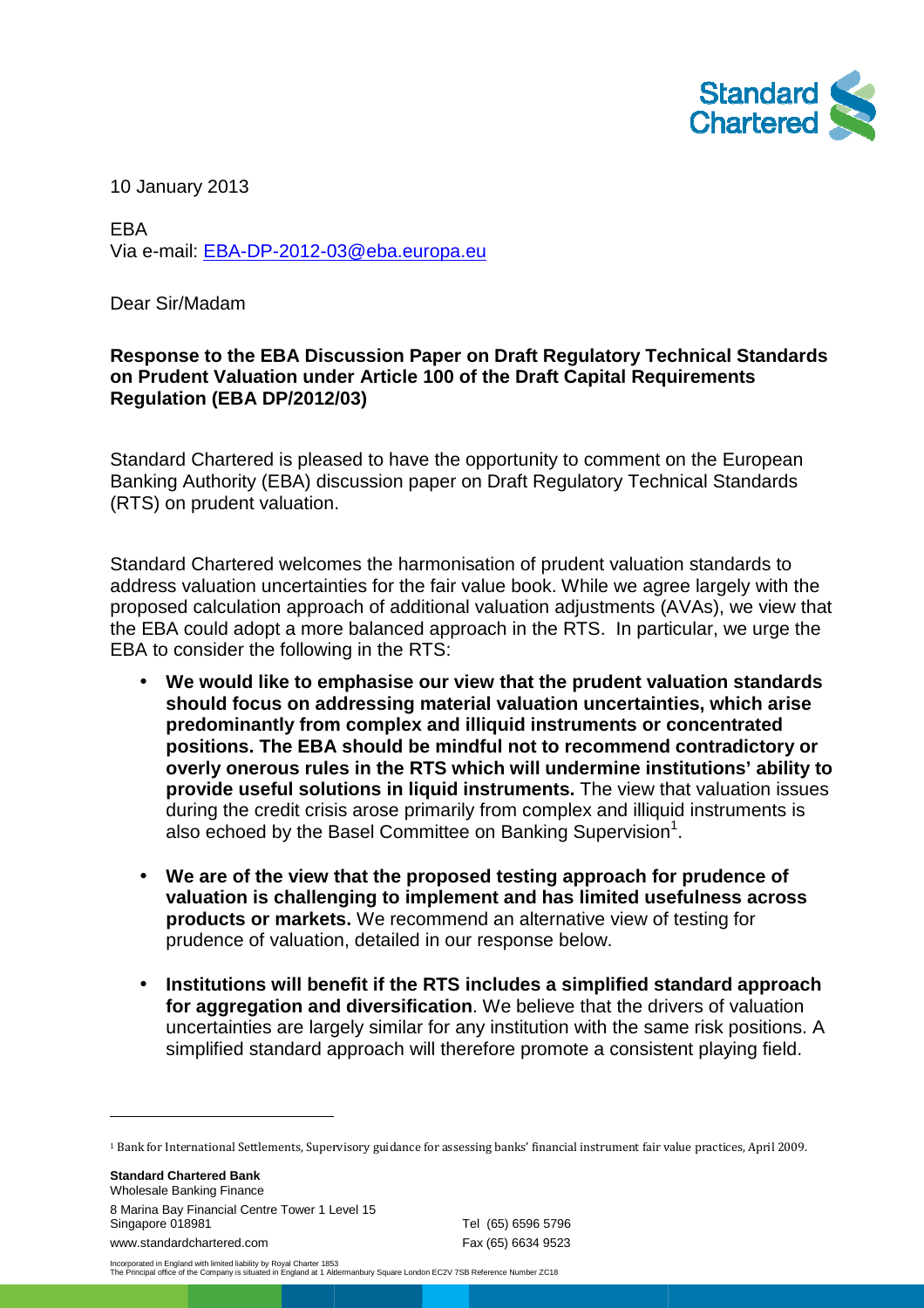

10 January 2013

EBA Via e-mail: <u>EBA-DP-2012-03@eba.europa.eu</u>

Dear Sir/Madam

#### **Response to the EBA Discussion Paper on Draft Regulatory Technical Standards on Prudent Valuation under Article 100 of the Draft Capital Requirements raft Regulation (EBA DP/2012/03 DP/2012/03)**

Standard Chartered is pleased to have the opportunity to comment on the European Banking Authority (EBA) discussion paper on Draft Regulatory Technical Standards ) (RTS) on prudent valuation.

Standard Chartered welcomes the harmonisation of prudent valuation standards to address valuation uncertainties for the fair value book. While we agree largely with the proposed calculation approach of additional valuation adjustments (AVAs), we view that the EBA could adopt a more balanced approach in the RTS. In particular, we urge the EBA to consider the following in the RTS:

- **We would like to emphasise our view that the prudent valuation standards** We would like to emphasise our view that the prudent valuation standards<br>should focus on addressing material valuation uncertainties, which arise **predominantly from complex and illiquid instruments or concentrated**  positions. The EBA should be mindful not to recommend contradictory or **overly onerous rules in the RTS which will undermine institutions' institutions' ability to provide useful solutions in liquid instruments.** The view that valuation issues during the credit crisis arose primarily from complex and illiquid instruments is also echoed by the Basel Committee on Banking Supervision<sup>1</sup>.
- **We are of the view that the proposed testing approach for prudence of valuation is challenging to implement implement and has limited usefulness across products or markets markets.** We recommend an alternative view of testing for prudence of valuation, detailed in our response below.
- **Institutions will benefit if the RTS includes a simplified standard approach for aggregation and diversification** . We believe that the drivers of valuation uncertainties are largely similar for any institution with the same risk positions. A simplified standard approach will therefore promote a consistent playing field.

**Standard Chartered Bank** Wholesale Banking Finance 8 Marina Bay Financial Centre Tower 1 Level 15 15 Singapore 018981 www.standardchartered.com Tel (65) 6596 5796 Fax (65) 6634 9523

 $\overline{a}$ 

 $\overline{a}$ 

Incorporated in England with limited liability by Royal Charter 1853 The Principal office of the Company is situated in England at 1 Aldermanbury Square London EC2V 7SB Reference Number ZC18

<sup>&</sup>lt;sup>1</sup> Bank for International Settlements, Supervisory guidance for assessing banks' financial instrument fair value practices, April 2009.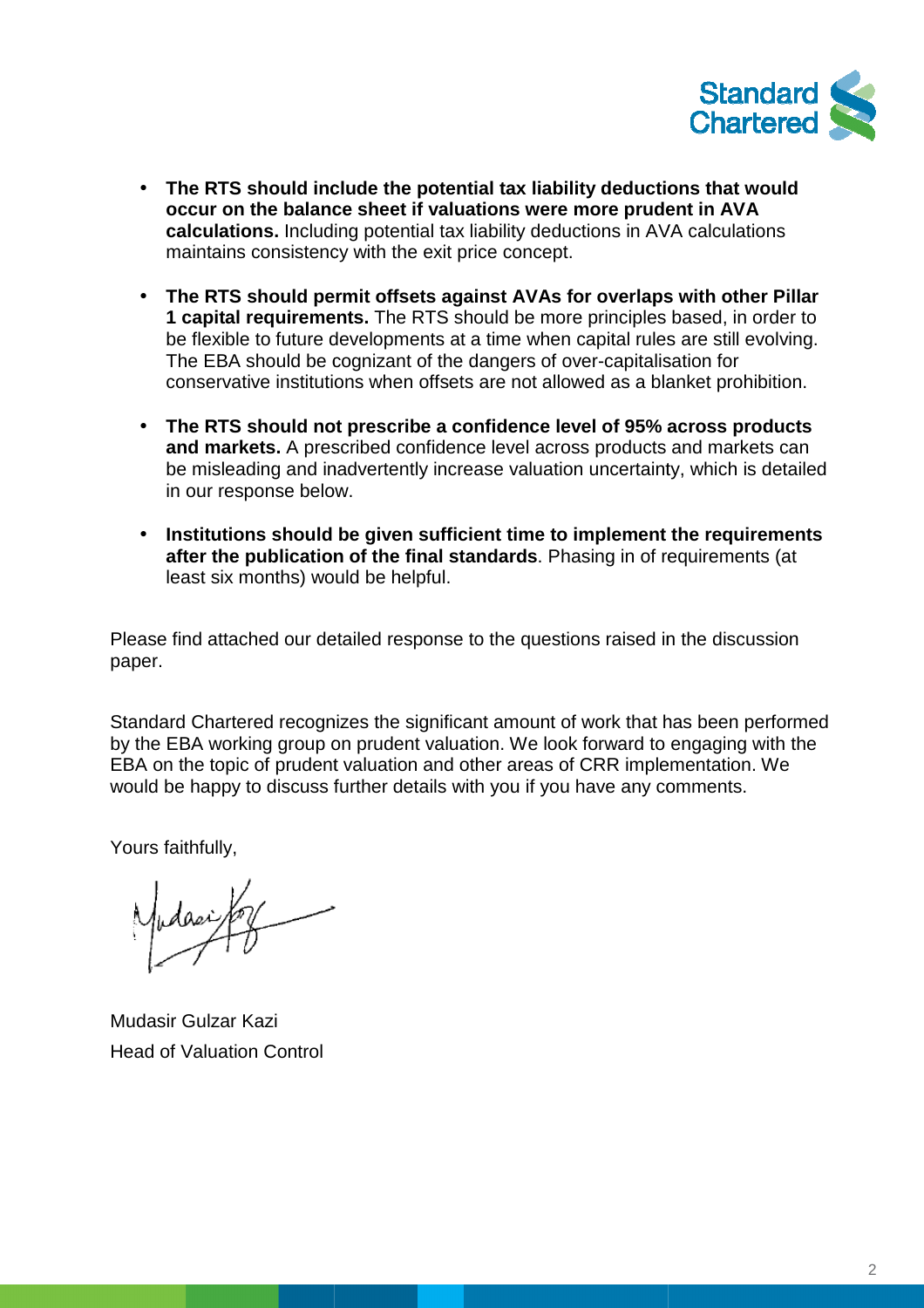

- **The RTS should include the potential tax liability deductions that would occur on the balance sheet if valuations were more prudent prudent in AVA**  calculations. Including potential tax liability deductions in AVA calculations maintains consistency with the exit price concept.
- The RTS should permit offsets against AVAs for overlaps with other Pillar **1 capital requirements.** The RTS should be more principles based, in order to be flexible to future developments at a time when capital rules are still evolving. The EBA should be cognizant of the dangers of over-capitalisation for conservative institutions when offsets are not allowed as a blanket prohibition.
- **•** The RTS should not prescribe a confidence level of 95% across products **and markets.** A prescribed confidence level across products and markets be misleading and inadvertently increase valuation uncertainty, which is detailed in our response below. phizant of the dangers of over-capitalisation for<br>s when offsets are not allowed as a blanket prohibition.<br>prescribe a confidence level of 95% across products<br>tibed confidence level across products and markets can
- **Institutions should be given sufficient time to implement the requirements** after the publication of the final standards. Phasing in of requirements (at least six months) would be helpful.

Please find attached our detailed response to the questions raised in the discussion paper.

Standard Chartered recognizes the significant amount of work that has been performed by the EBA working group on prudent valuation. We look forward to engaging with the EBA on the topic of prudent valuation and other areas of CRR implementation. We would be happy to discuss further details with you if you have any comments.

Yours faithfully,

Mudasir Gulzar Kazi Head of Valuation Control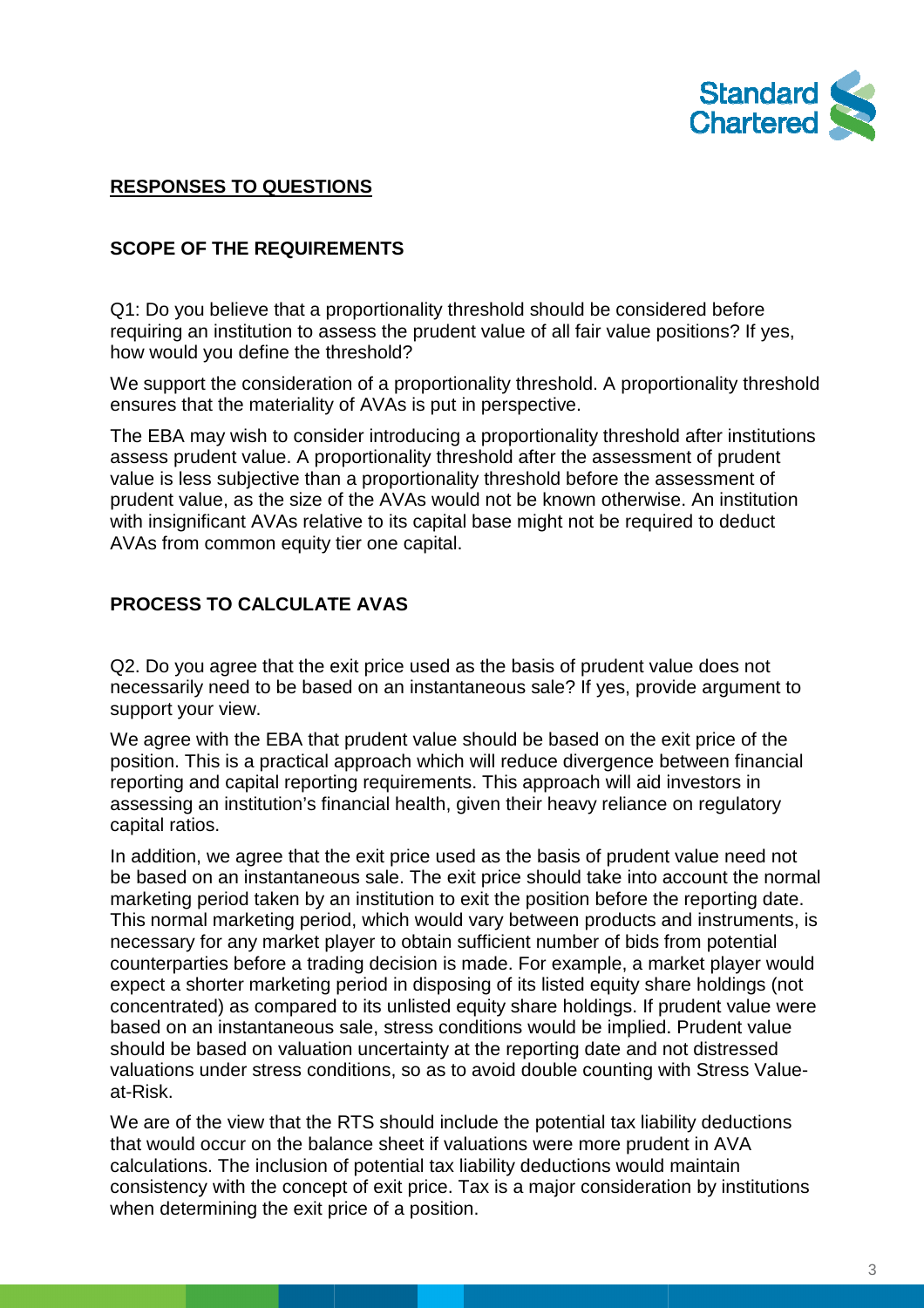

## **RESPONSES TO QUESTIONS**

### **SCOPE OF THE REQUIREMENTS**

Q1: Do you believe that a proportionality threshold should be considered before requiring an institution to assess the prudent value of all fair value positions? If yes, how would you define the threshold?

We support the consideration of a proportionality threshold. A proportionality threshold ensures that the materiality of AVAs is put in perspective. perspective.

The EBA may wish to consider introducing a proportionality threshold after institutions assess prudent value. A proportionality threshold after the assessment of prudent value is less subjective than a proportionality threshold before the assessment of prudent value, as the size of the AVAs would not be known otherwise. An institution prudent value, as the size of the AVAs would not be known otherwise. An institutio<br>with insignificant AVAs relative to its capital base might not be required to deduct AVAs from common equity tier one capital.

## **PROCESS TO CALCULATE AVAS**

Q2. Do you agree that the exit price used as the basis of prudent value does not necessarily need to be based on an instantaneous sale? If yes, provide argument to support your view.

We agree with the EBA that prudent value should be based on the exit price of the position. This is a practical approach which will reduce divergence between financial reporting and capital reporting requirements. This approach will aid investors in assessing an institution's financial health, given their heavy reliance on regulatory capital ratios.

In addition, we agree that the exit price used as the basis of prudent value need not In addition, we agree that the exit price used as the basis of prudent value need not<br>be based on an instantaneous sale. The exit price should take into account the normal marketing period taken by an institution to exit the position before the reporting date. This normal marketing period, which would vary between products and instruments, is necessary for any market player to obtain sufficient number of bids from potential counterparties before a trading decision is made. For example, a market player would expect a shorter marketing period in disposing of its listed equity share holdings (not concentrated) as compared to its unlisted equity share holdings. If prudent value were based on an instantaneous sale, stress conditions would be implied. Prudent value based on an instantaneous sale, stress conditions would be implied. Prudent valu<br>should be based on valuation uncertainty at the reporting date and not distressed valuations under stress conditions, so as to avoid double counting with Stress Valueat-Risk.

We are of the view that the RTS should include the potential tax liability deductions that would occur on the balance sheet if valuations were more prudent in AVA calculations. The inclusion of potential tax liability deductions would maintain consistency with the concept of exit price. Tax is a major consideration by institutions when determining the exit price of a position.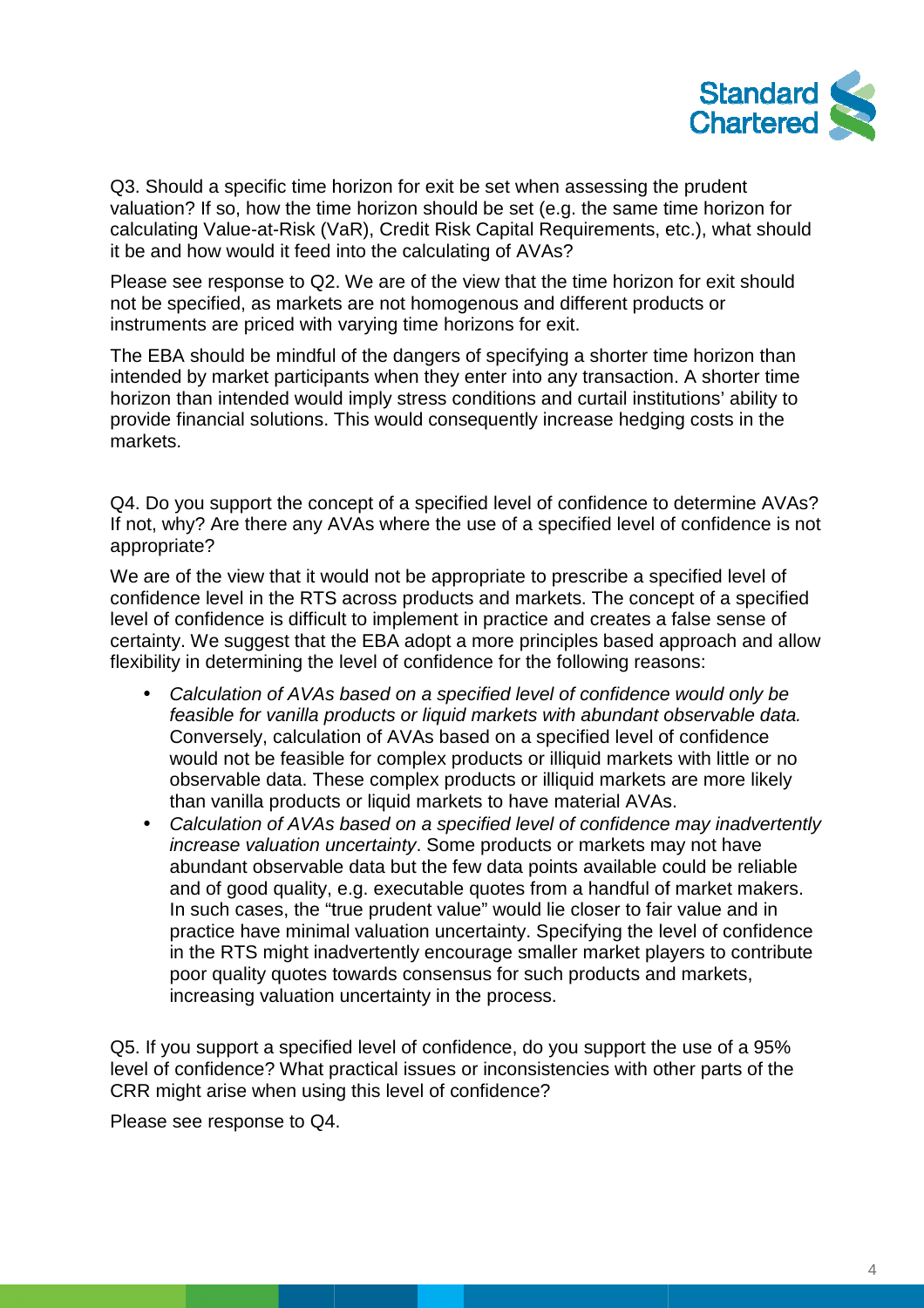

Q3. Should a specific time horizon for exit be set when assessing the prudent valuation? If so, how the time horizon should be set (e.g. the same time horizon for calculating Value-at-Risk (VaR), Credit Risk Capital Requirements, etc.), what should it be and how would it feed into the calculating of AVAs?

Please see response to Q2. We are of the view that the time horizon for exit should not be specified, as markets are not homogenous and different products or instruments are priced with varying time horizons for exit. calculating Value-at-Risk (VaR), Credit Risk Capital Requirements, etc.), what shoul<br>it be and how would it feed into the calculating of AVAs?<br>Please see response to Q2. We are of the view that the time horizon for exit sh

intended by market participants when they enter into any transaction. A shorter time intended by market participants when they enter into any transaction. A shorter time<br>horizon than intended would imply stress conditions and curtail institutions' ability to provide financial solutions. This would consequently increase hedging costs in the markets.

Q4. Do you support the concept of a specified level of confidence to determine AVAs? If not, why? Are there any AVAs where the use of a specified level of confidence is not appropriate?

We are of the view that it would not be appropriate to prescribe a specified level of confidence level in the RTS across products and markets. The concept of a specified level of confidence is difficult to implement in practice and creates a false sense of confidence level in the RTS across products and markets. The concept of a specified<br>level of confidence is difficult to implement in practice and creates a false sense of<br>certainty. We suggest that the EBA adopt a more pri flexibility in determining the level of confidence for the following reasons:

- Calculation of AVAs based on a specified level of confidence would only be feasible for vanilla products or liquid markets with abundant observable data. Conversely, calculation of AVAs based on a specified level of confidence iv in determining the level of confidence for the following reasons:<br>Calculation of AVAs based on a specified level of confidence would only be<br>feasible for vanilla products or liquid markets with abundant observable data. observable data. These complex products or illiquid markets are more likely than vanilla products or liquid markets to have material AVAs.
- Calculation of AVAs based on a specified level of confidence may inadvertently increase valuation uncertainty . Some products or markets may not have abundant observable data but the few data points available could be reliable and of good quality, e.g. executable quotes from a handful of market makers. In such cases, the "true prudent value" would lie closer to fair value and in practice have minimal valuation uncertainty. Specifying the level of confidence in the RTS might inadvertently encourage smaller market players to contribute poor quality quotes towards consensus for such products and markets, increasing valuation uncertainty in the process.

Q5. If you support a specified level of confidence, do you support the use of a 95% level of confidence? What practical issues or inconsistencies with other parts of the CRR might arise when using this level of confidence?

Please see response to Q4.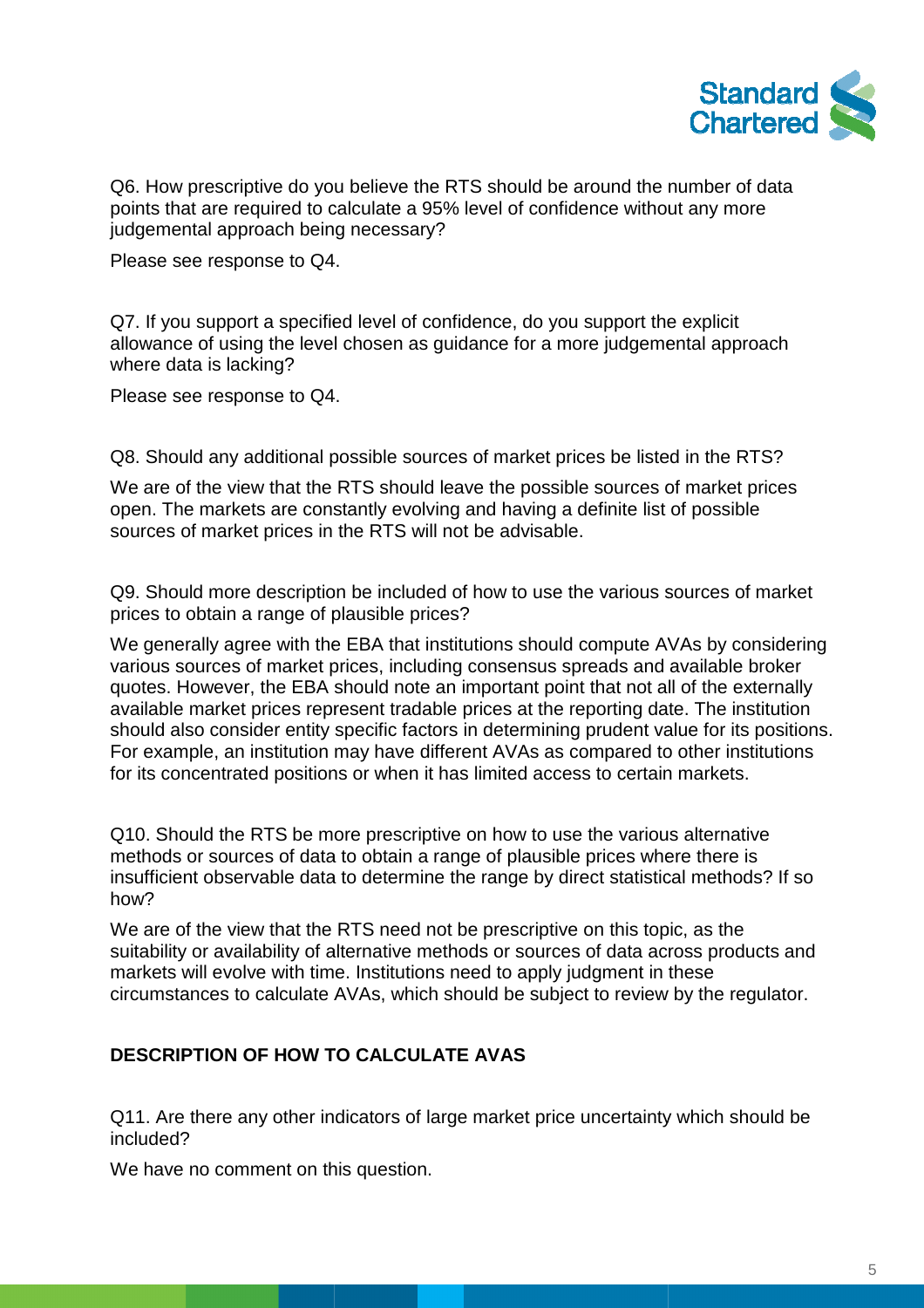

Q6. How prescriptive do you believe the RTS should be around the number of data points that are required to calculate a 95% level of confidence without any more judgemental approach being necessary?

Please see response to Q4.

Q7. If you support a specified level of confidence, do you support the explicit allowance of using the level chosen as guidance for a more judgemental approach where data is lacking?

Please see response to Q4.

Q8. Should any additional possible sources of market prices be listed in the RTS?

We are of the view that the RTS should leave the possible sources of market prices open. The markets are constantly evolving and having a definite list of possible sources of market prices in the RTS will not be advisable.

Q9. Should more description be included of how to use the various sources of market prices to obtain a range of plausible prices?

We generally agree with the EBA that institutions should compute AVAs by considering various sources of market prices, including consensus spreads and available broker quotes. However, the EBA should note an important point that not all of the externally available market prices represent tradable prices at the reporting date. The institution should also consider entity specific factors in determining prudent value for its positions. For example, an institution may have different AVAs as compared to other institutions for its concentrated positions or when it has limited access to certain markets.

Q10. Should the RTS be more prescriptive on how to use the various alternative methods or sources of data to obtain a range of plausible prices where there is insufficient observable data to determine the range by direct statistical methods? If so how? centrated positions or when it has limited access to certain markets.<br>
uld the RTS be more prescriptive on how to use the various alternative<br>
or sources of data to obtain a range of plausible prices where there is<br>
it obs

We are of the view that the RTS need not be prescriptive on this topic, as the suitability or availability of alternative methods or sources of data across products and markets will evolve with time. Institutions need to apply judgment in these circumstances to calculate AVAs, which should be subject to review by the regulator.

# **DESCRIPTION OF HOW TO CALCULATE AVAS**

Q11. Are there any other indicators of large market price uncertainty which should be included?

We have no comment on this question.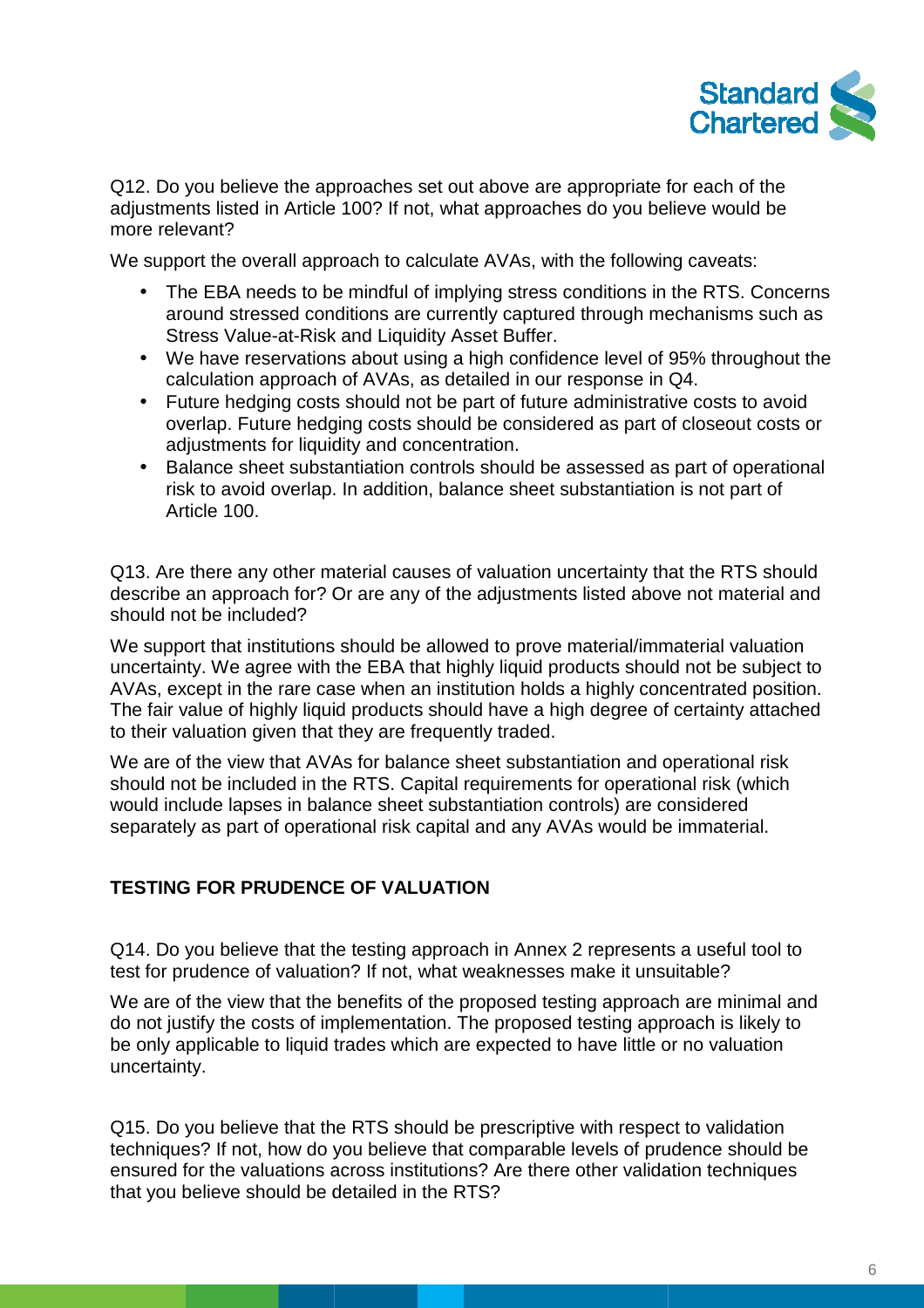

Q12. Do you believe the approaches set out above are appropriate for each of the adjustments listed in Article 100? If not, what approaches do you believe would be more relevant?

We support the overall approach to calculate AVAs, with the following caveats:

- The EBA needs to be mindful of implying stress conditions in the RTS. Concerns around stressed conditions are currently captured through mechanisms such as Stress Value-at-Risk and Liquidity Asset Buffer.
- We have reservations about using a high confidence level of 95% throughout the calculation approach of AVAs, as detailed in our response in Q4. • Stress Value-at-Risk and Liquidity Asset Buffer.<br>• We have reservations about using a high confidence level of 95% throughout the calculation approach of AVAs, as detailed in our response in Q4.<br>• Future hedging costs sh
- overlap. Future hedging costs should be considered as part of closeout costs or adjustments for liquidity and concentration.
- Balance sheet substantiation controls should be assessed as part of operational risk to avoid overlap. In addition, balance sheet substantiation is not part of Article 100.

Q13. Are there any other material causes of valuation uncertainty that the RTS should describe an approach for? Or are any of the adjustments listed above not material and should not be included?

We support that institutions should be allowed to prove material/immaterial valuation uncertainty. We agree with the EBA that highly liquid products should not be subject to AVAs, except in the rare case when an institution holds a highly concentrated position. The fair value of highly liquid products should have a high degree of certainty attached to their valuation given that they are frequently traded.

We are of the view that AVAs for balance sheet substantiation and operational risk should not be included in the RTS. Capital requirements for operational risk (which would include lapses in balance sheet substantiation controls) are considered separately as part of operational risk capital and any AVAs would be immaterial.

#### **TESTING FOR PRUDENCE OF VALUATION**

Q14. Do you believe that the testing approach in Annex 2 represents a useful tool to test for prudence of valuation? If not, what weaknesses make it unsuitable?

We are of the view that the benefits of the proposed testing approach are minimal and do not justify the costs of implementation. The proposed testing approach is likely to be only applicable to liquid trades which are expected to have little or no valuation uncertainty.

Q15. Do you believe that the RTS should be prescriptive with respect to validation techniques? If not, how do you believe that comparable levels of prudence should be ensured for the valuations across institutions? Are there other validation techniques that you believe should be detailed in the RTS?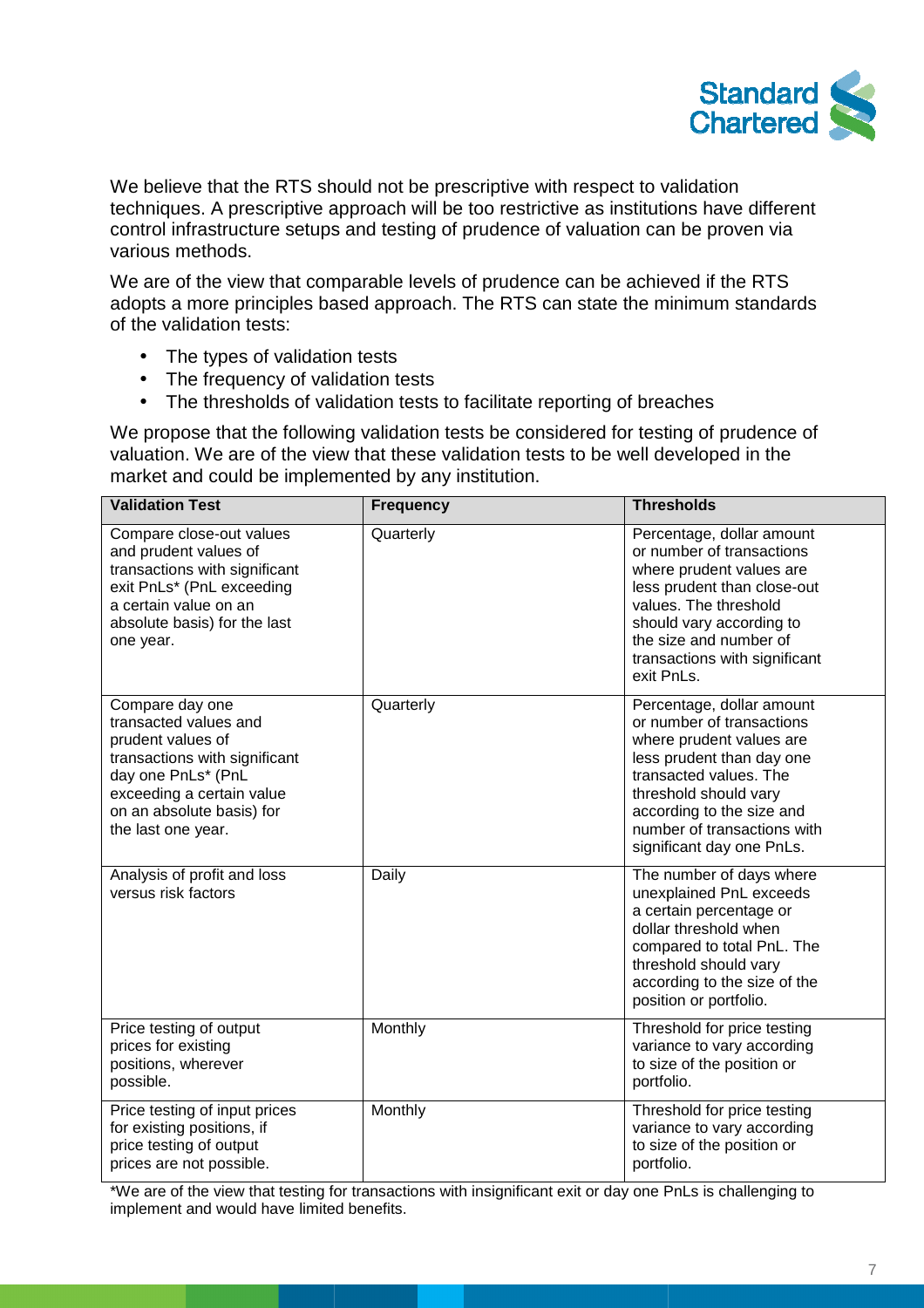

We believe that the RTS should not be prescriptive with respect to validation techniques. A prescriptive approach will be too restrictive as institutions have different control infrastructure setups and testing of prudence of valuation can various methods. espect to validation<br>as institutions have differe<br>aluation can be proven via

We are of the view that comparable levels of prudence can be achieved if the RTS adopts a more principles based approach. The RTS can state the minimum standards of the validation tests:

- The types of validation tests
- The frequency of validation tests
- The thresholds of validation tests to facilitate reporting of breaches

We propose that the following validation tests be considered for testing of prudence of valuation. We are of the view that these validation tests to be well developed in the market and could be implemented by any institution.

| <b>Validation Test</b>                                                                                                                                                                               | <b>Frequency</b> | <b>Thresholds</b>                                                                                                                                                                                                                                           |
|------------------------------------------------------------------------------------------------------------------------------------------------------------------------------------------------------|------------------|-------------------------------------------------------------------------------------------------------------------------------------------------------------------------------------------------------------------------------------------------------------|
| Compare close-out values<br>and prudent values of<br>transactions with significant<br>exit PnLs* (PnL exceeding<br>a certain value on an<br>absolute basis) for the last<br>one year.                | Quarterly        | Percentage, dollar amount<br>or number of transactions<br>where prudent values are<br>less prudent than close-out<br>values. The threshold<br>should vary according to<br>the size and number of<br>transactions with significant<br>exit PnLs.             |
| Compare day one<br>transacted values and<br>prudent values of<br>transactions with significant<br>day one PnLs* (PnL<br>exceeding a certain value<br>on an absolute basis) for<br>the last one year. | Quarterly        | Percentage, dollar amount<br>or number of transactions<br>where prudent values are<br>less prudent than day one<br>transacted values. The<br>threshold should vary<br>according to the size and<br>number of transactions with<br>significant day one PnLs. |
| Analysis of profit and loss<br>versus risk factors                                                                                                                                                   | Daily            | The number of days where<br>unexplained PnL exceeds<br>a certain percentage or<br>dollar threshold when<br>compared to total PnL. The<br>threshold should vary<br>according to the size of the<br>position or portfolio.                                    |
| Price testing of output<br>prices for existing<br>positions, wherever<br>possible.                                                                                                                   | Monthly          | Threshold for price testing<br>variance to vary according<br>to size of the position or<br>portfolio.                                                                                                                                                       |
| Price testing of input prices<br>for existing positions, if<br>price testing of output<br>prices are not possible.                                                                                   | Monthly          | Threshold for price testing<br>variance to vary according<br>to size of the position or<br>portfolio.                                                                                                                                                       |

\*We are of the view that testing for transactions with insignificant exit or day one PnLs is challenging to implement and would have limited benefits.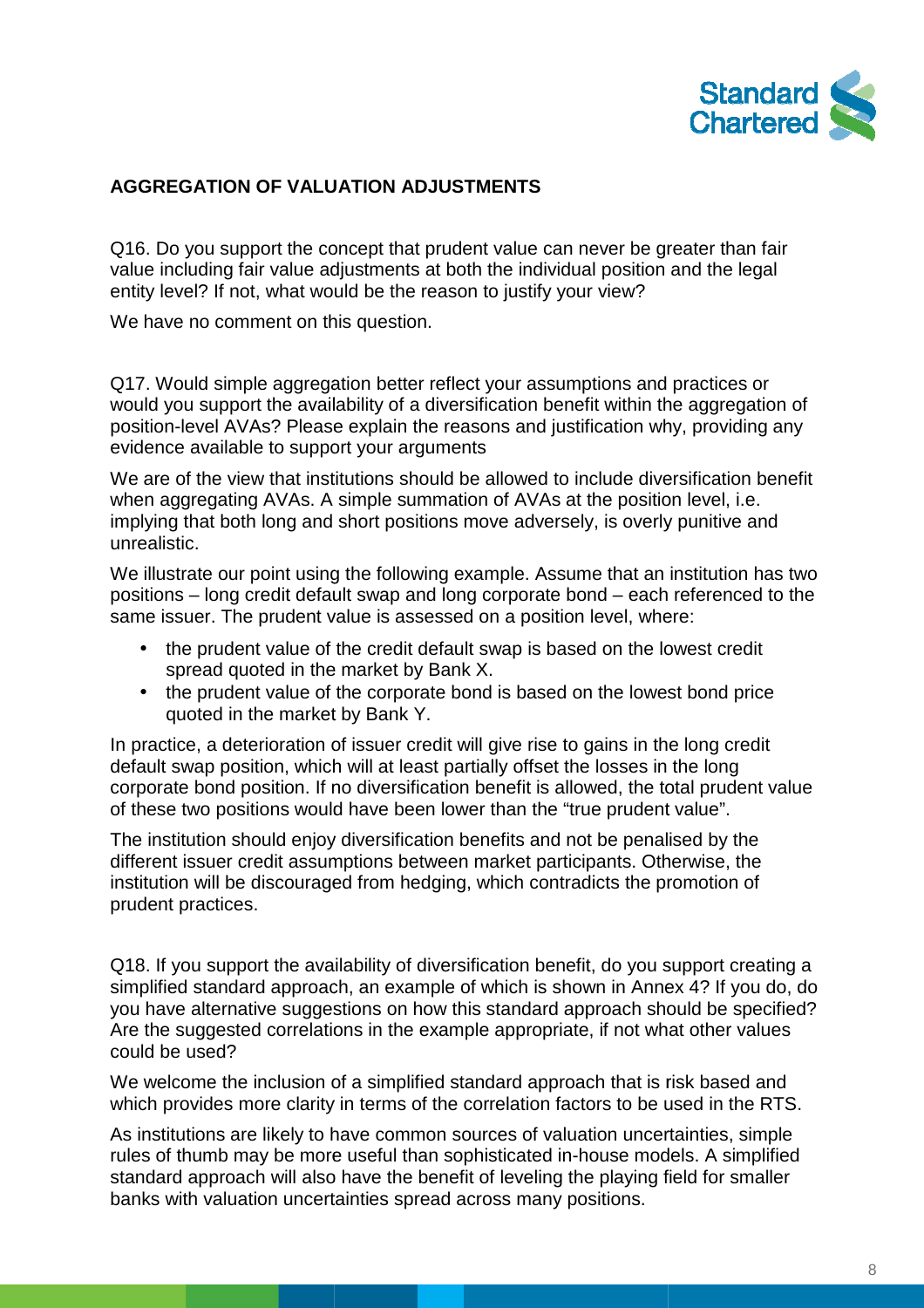

## **AGGREGATION OF VALUATION ADJUSTMENTS**

Q16. Do you support the concept that prudent value can never be greater than fair value including fair value adjustments at both the individual position and the legal entity level? If not, what would be the reason to justify your view?

We have no comment on this question.

Q17. Would simple aggregation better reflect your assumptions and practices or would you support the availability of a diversification benefit within the aggregation of position-level AVAs? Please explain the reasons and justification why, providing any evidence available to support your arguments

We are of the view that institutions should be allowed to include diversification benefit position-level AVAs? Please explain the reasons and justification why, providing<br>evidence available to support your arguments<br>We are of the view that institutions should be allowed to include diversification b<br>when aggrega implying that both long and short positions move adversely, is overly punitive and unrealistic. when aggregating AVAs. A simple summation of AVAs at the position level, i.e.<br>implying that both long and short positions move adversely, is overly punitive and<br>unrealistic.<br>We illustrate our point using the following exam

positions – long credit default swap and long corporate bond – each referenced to the same issuer. The prudent value is assessed on a position level, where:

- ne issuer. The prudent value is assessed on a position level, where:<br>● the prudent value of the credit default swap is based on the lowest credit spread quoted in the market by Bank X.
- the prudent value of the corporate bond is based on the lowest bond price quoted in the market by Bank Y.

In practice, a deterioration of issuer credit will give rise to gains in the long credit default swap position, which will at least partially offset the losses in the long corporate bond position. If no diversification benefit is allowed, the total prudent value of these two positions would have been lower than the "true prudent value".

The institution should enjoy diversification benefits and not be penalised by the different issuer credit assumptions between market participants. Otherwise, the institution will be discouraged from hedging, which contradicts the promotion of prudent practices.

Q18. If you support the availability of diversification benefit, do you support creating a simplified standard approach, an example of which is shown in Annex 4? If you do, do you have alternative suggestions on how this standard approach should be specified? Are the suggested correlations in the example appropriate, if not what other values could be used?

We welcome the inclusion of a simplified standard approach that is risk based and which provides more clarity in terms of the correlation factors to be used in the RTS.

As institutions are likely to have common sources of valuation uncertainties, simple rules of thumb may be more useful than sophisticated in-house models. A simplified standard approach will also have the benefit of leveling the playing field for smaller banks with valuation uncertainties spread across many positions. positions.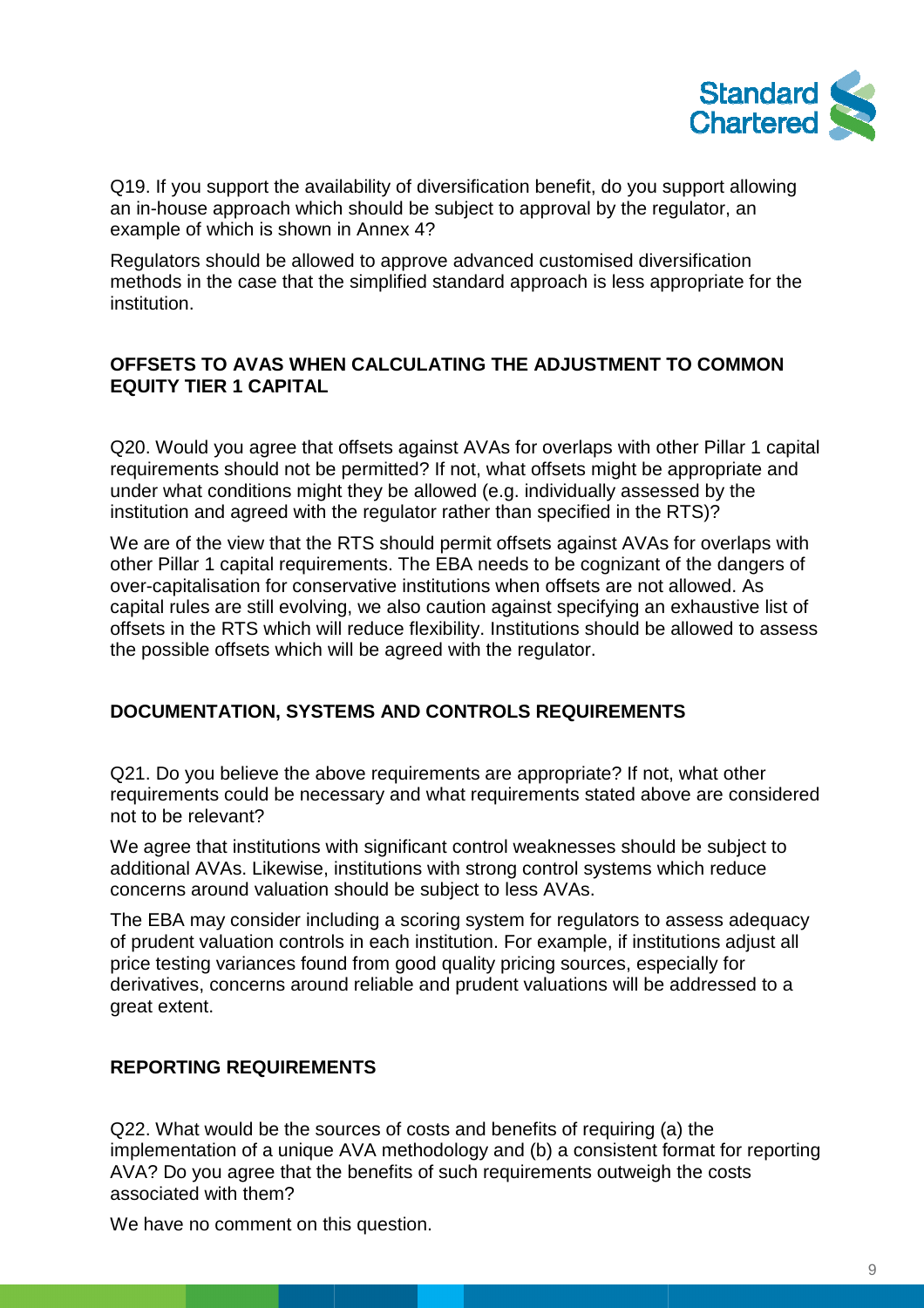

Q19. If you support the availability of diversification benefit, do you support allowing an in-house approach which should be subject to approval by the regulator, an example of which is shown in Annex 4? an in-house approach which should be subject to approval by the regulator, an<br>example of which is shown in Annex 4?<br>Regulators should be allowed to approve advanced customised diversification

methods in the case that the simplified standard approach is less appropriate for the institution. y of diversification benefit, do you support allowing<br>uld be subject to approval by the regulator, an<br>nex 4?<br>approve advanced customised diversification<br>blified standard approach is less appropriate for the<br>LCULATING THE A

### **OFFSETS TO AVAS WHEN CALCULATING THE ADJUSTMENT TO COMMON EQUITY TIER 1 CAPITAL**

Q20. Would you agree that offsets against AVAs for overlaps with other Pillar 1 cap requirements should not be permitted? If not, what offsets might be appropriate and under what conditions might they be allowed (e.g. individually assessed by the institution and agreed with the regulator rather than specified in the RTS)?

We are of the view that the RTS should permit offsets against AVAs for overlaps with other Pillar 1 capital requirements. The EBA needs to be cognizant of the dangers of over-capitalisation for conservative institutions when offsets are not allowed. As capital rules are still evolving, we also caution against specifying an exhaustive list of offsets in the RTS which will reduce flexibility. Institutions should be allowed to assess the possible offsets which will be agreed with the regulator.

# **DOCUMENTATION, SYSTEMS AND CONTROLS REQUIREMENTS**

Q21. Do you believe the above requirements are appropriate? If not, what other requirements could be necessary and what requirements stated above are considered not to be relevant?

We agree that institutions with significant control weaknesses should be subject to additional AVAs. Likewise, institutions with strong control systems which reduce concerns around valuation should be subject to less AVAs. We agree that institutions with significant control weaknesses should be subject to<br>additional AVAs. Likewise, institutions with strong control systems which reduce<br>concerns around valuation should be subject to less AVAs.

of prudent valuation controls in each institution. For example, if institutions adjust all price testing variances found from good quality pricing sources, especially for derivatives, concerns around reliable and prudent valuations will be addressed to a great extent.

# **REPORTING REQUIREMENTS**

Q22. What would be the sources of costs and benefits of requiring (a) the implementation of a unique AVA methodology and (b) a consistent format for reporting AVA? Do you agree that the benefits of such requirements outweigh the costs associated with them?

We have no comment on this question.